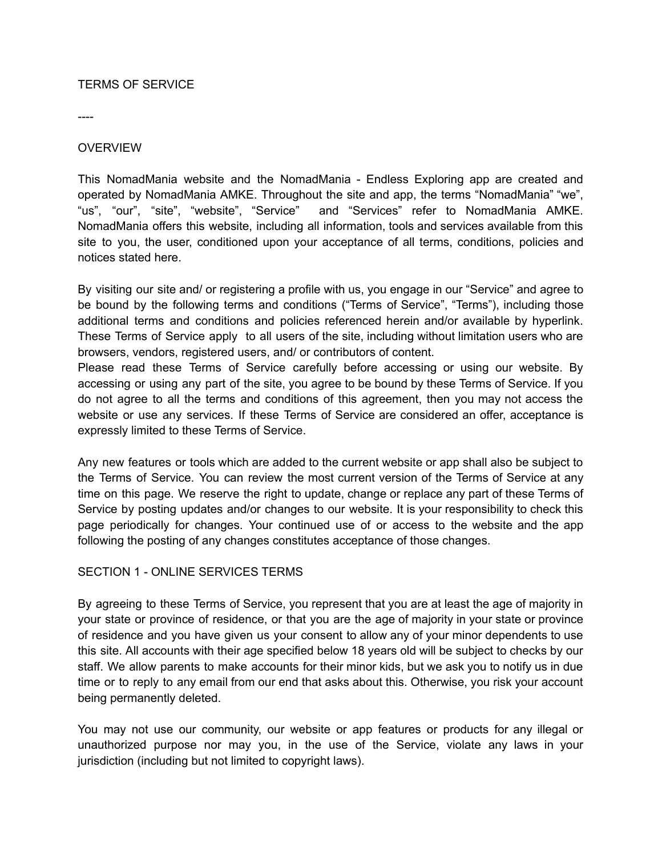### TERMS OF SERVICE

----

### **OVERVIEW**

This NomadMania website and the NomadMania - Endless Exploring app are created and operated by NomadMania AMKE. Throughout the site and app, the terms "NomadMania" "we", "us", "our", "site", "website", "Service" and "Services" refer to NomadMania AMKE. NomadMania offers this website, including all information, tools and services available from this site to you, the user, conditioned upon your acceptance of all terms, conditions, policies and notices stated here.

By visiting our site and/ or registering a profile with us, you engage in our "Service" and agree to be bound by the following terms and conditions ("Terms of Service", "Terms"), including those additional terms and conditions and policies referenced herein and/or available by hyperlink. These Terms of Service apply to all users of the site, including without limitation users who are browsers, vendors, registered users, and/ or contributors of content.

Please read these Terms of Service carefully before accessing or using our website. By accessing or using any part of the site, you agree to be bound by these Terms of Service. If you do not agree to all the terms and conditions of this agreement, then you may not access the website or use any services. If these Terms of Service are considered an offer, acceptance is expressly limited to these Terms of Service.

Any new features or tools which are added to the current website or app shall also be subject to the Terms of Service. You can review the most current version of the Terms of Service at any time on this page. We reserve the right to update, change or replace any part of these Terms of Service by posting updates and/or changes to our website. It is your responsibility to check this page periodically for changes. Your continued use of or access to the website and the app following the posting of any changes constitutes acceptance of those changes.

# SECTION 1 - ONLINE SERVICES TERMS

By agreeing to these Terms of Service, you represent that you are at least the age of majority in your state or province of residence, or that you are the age of majority in your state or province of residence and you have given us your consent to allow any of your minor dependents to use this site. All accounts with their age specified below 18 years old will be subject to checks by our staff. We allow parents to make accounts for their minor kids, but we ask you to notify us in due time or to reply to any email from our end that asks about this. Otherwise, you risk your account being permanently deleted.

You may not use our community, our website or app features or products for any illegal or unauthorized purpose nor may you, in the use of the Service, violate any laws in your jurisdiction (including but not limited to copyright laws).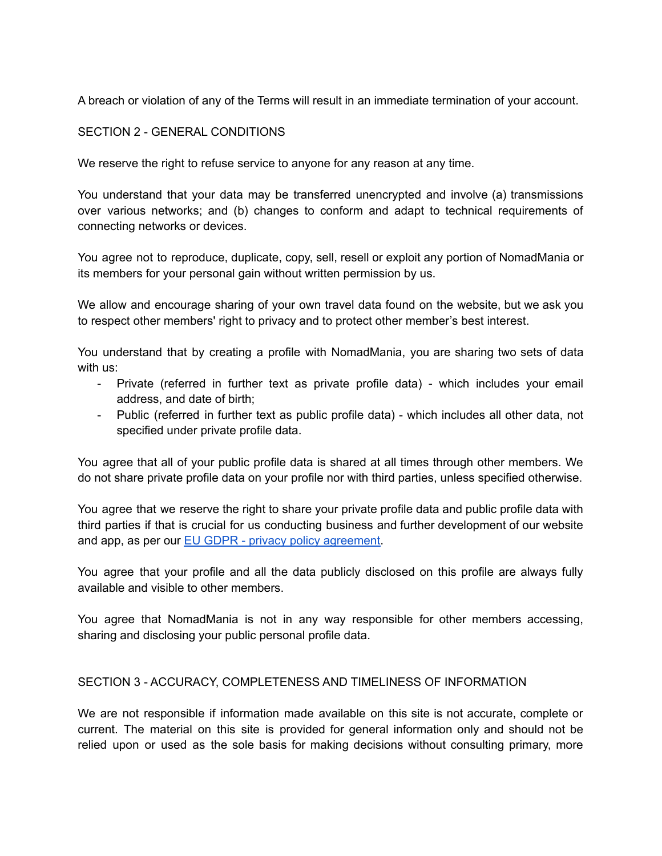A breach or violation of any of the Terms will result in an immediate termination of your account.

# SECTION 2 - GENERAL CONDITIONS

We reserve the right to refuse service to anyone for any reason at any time.

You understand that your data may be transferred unencrypted and involve (a) transmissions over various networks; and (b) changes to conform and adapt to technical requirements of connecting networks or devices.

You agree not to reproduce, duplicate, copy, sell, resell or exploit any portion of NomadMania or its members for your personal gain without written permission by us.

We allow and encourage sharing of your own travel data found on the website, but we ask you to respect other members' right to privacy and to protect other member's best interest.

You understand that by creating a profile with NomadMania, you are sharing two sets of data with us:

- Private (referred in further text as private profile data) which includes your email address, and date of birth;
- Public (referred in further text as public profile data) which includes all other data, not specified under private profile data.

You agree that all of your public profile data is shared at all times through other members. We do not share private profile data on your profile nor with third parties, unless specified otherwise.

You agree that we reserve the right to share your private profile data and public profile data with third parties if that is crucial for us conducting business and further development of our website and app, as per our **EU GDPR** - privacy policy [agreement.](https://nomadmania.travel/gdpr.html)

You agree that your profile and all the data publicly disclosed on this profile are always fully available and visible to other members.

You agree that NomadMania is not in any way responsible for other members accessing, sharing and disclosing your public personal profile data.

# SECTION 3 - ACCURACY, COMPLETENESS AND TIMELINESS OF INFORMATION

We are not responsible if information made available on this site is not accurate, complete or current. The material on this site is provided for general information only and should not be relied upon or used as the sole basis for making decisions without consulting primary, more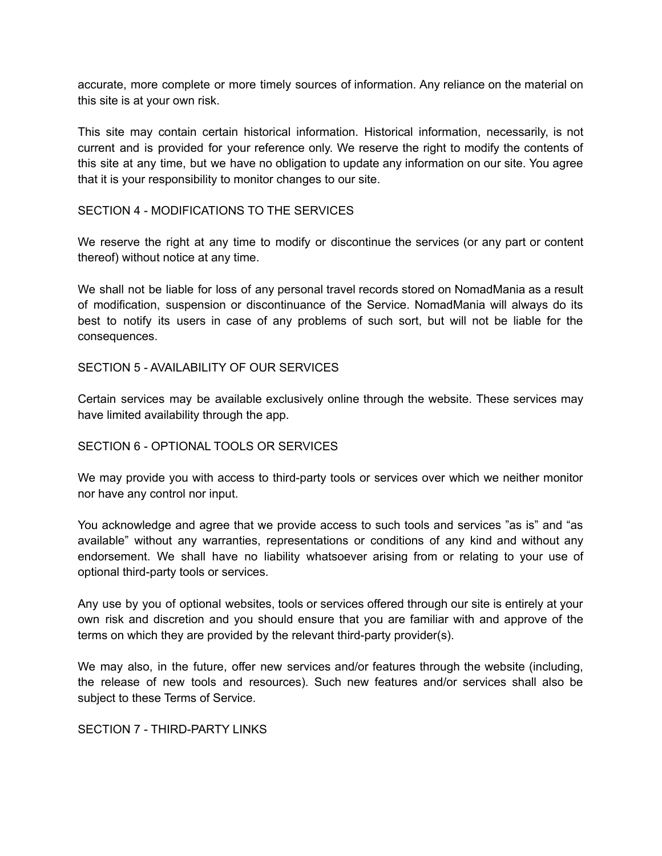accurate, more complete or more timely sources of information. Any reliance on the material on this site is at your own risk.

This site may contain certain historical information. Historical information, necessarily, is not current and is provided for your reference only. We reserve the right to modify the contents of this site at any time, but we have no obligation to update any information on our site. You agree that it is your responsibility to monitor changes to our site.

# SECTION 4 - MODIFICATIONS TO THE SERVICES

We reserve the right at any time to modify or discontinue the services (or any part or content thereof) without notice at any time.

We shall not be liable for loss of any personal travel records stored on NomadMania as a result of modification, suspension or discontinuance of the Service. NomadMania will always do its best to notify its users in case of any problems of such sort, but will not be liable for the consequences.

#### SECTION 5 - AVAILABILITY OF OUR SERVICES

Certain services may be available exclusively online through the website. These services may have limited availability through the app.

#### SECTION 6 - OPTIONAL TOOLS OR SERVICES

We may provide you with access to third-party tools or services over which we neither monitor nor have any control nor input.

You acknowledge and agree that we provide access to such tools and services "as is" and "as available" without any warranties, representations or conditions of any kind and without any endorsement. We shall have no liability whatsoever arising from or relating to your use of optional third-party tools or services.

Any use by you of optional websites, tools or services offered through our site is entirely at your own risk and discretion and you should ensure that you are familiar with and approve of the terms on which they are provided by the relevant third-party provider(s).

We may also, in the future, offer new services and/or features through the website (including, the release of new tools and resources). Such new features and/or services shall also be subject to these Terms of Service.

#### SECTION 7 - THIRD-PARTY LINKS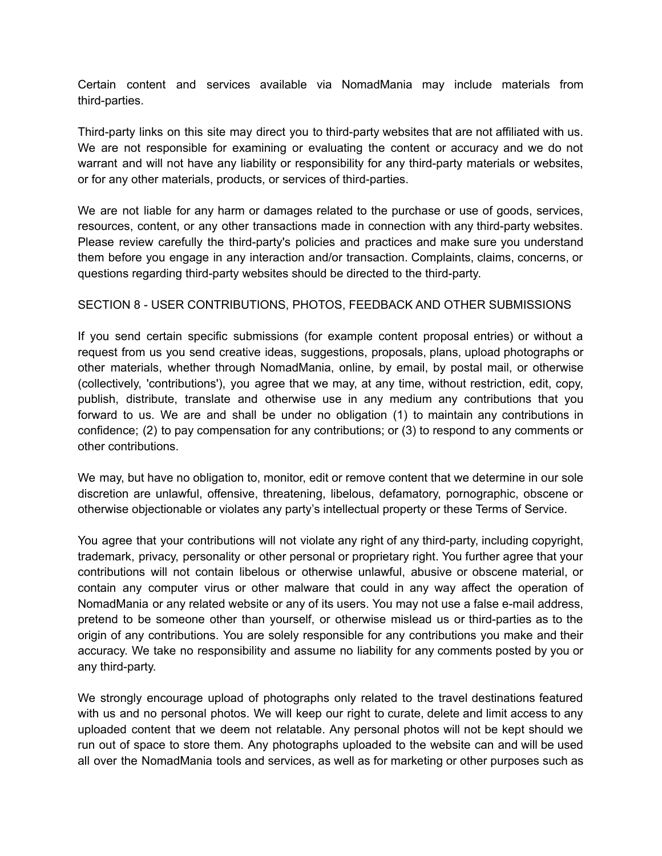Certain content and services available via NomadMania may include materials from third-parties.

Third-party links on this site may direct you to third-party websites that are not affiliated with us. We are not responsible for examining or evaluating the content or accuracy and we do not warrant and will not have any liability or responsibility for any third-party materials or websites, or for any other materials, products, or services of third-parties.

We are not liable for any harm or damages related to the purchase or use of goods, services, resources, content, or any other transactions made in connection with any third-party websites. Please review carefully the third-party's policies and practices and make sure you understand them before you engage in any interaction and/or transaction. Complaints, claims, concerns, or questions regarding third-party websites should be directed to the third-party.

# SECTION 8 - USER CONTRIBUTIONS, PHOTOS, FEEDBACK AND OTHER SUBMISSIONS

If you send certain specific submissions (for example content proposal entries) or without a request from us you send creative ideas, suggestions, proposals, plans, upload photographs or other materials, whether through NomadMania, online, by email, by postal mail, or otherwise (collectively, 'contributions'), you agree that we may, at any time, without restriction, edit, copy, publish, distribute, translate and otherwise use in any medium any contributions that you forward to us. We are and shall be under no obligation (1) to maintain any contributions in confidence; (2) to pay compensation for any contributions; or (3) to respond to any comments or other contributions.

We may, but have no obligation to, monitor, edit or remove content that we determine in our sole discretion are unlawful, offensive, threatening, libelous, defamatory, pornographic, obscene or otherwise objectionable or violates any party's intellectual property or these Terms of Service.

You agree that your contributions will not violate any right of any third-party, including copyright, trademark, privacy, personality or other personal or proprietary right. You further agree that your contributions will not contain libelous or otherwise unlawful, abusive or obscene material, or contain any computer virus or other malware that could in any way affect the operation of NomadMania or any related website or any of its users. You may not use a false e-mail address, pretend to be someone other than yourself, or otherwise mislead us or third-parties as to the origin of any contributions. You are solely responsible for any contributions you make and their accuracy. We take no responsibility and assume no liability for any comments posted by you or any third-party.

We strongly encourage upload of photographs only related to the travel destinations featured with us and no personal photos. We will keep our right to curate, delete and limit access to any uploaded content that we deem not relatable. Any personal photos will not be kept should we run out of space to store them. Any photographs uploaded to the website can and will be used all over the NomadMania tools and services, as well as for marketing or other purposes such as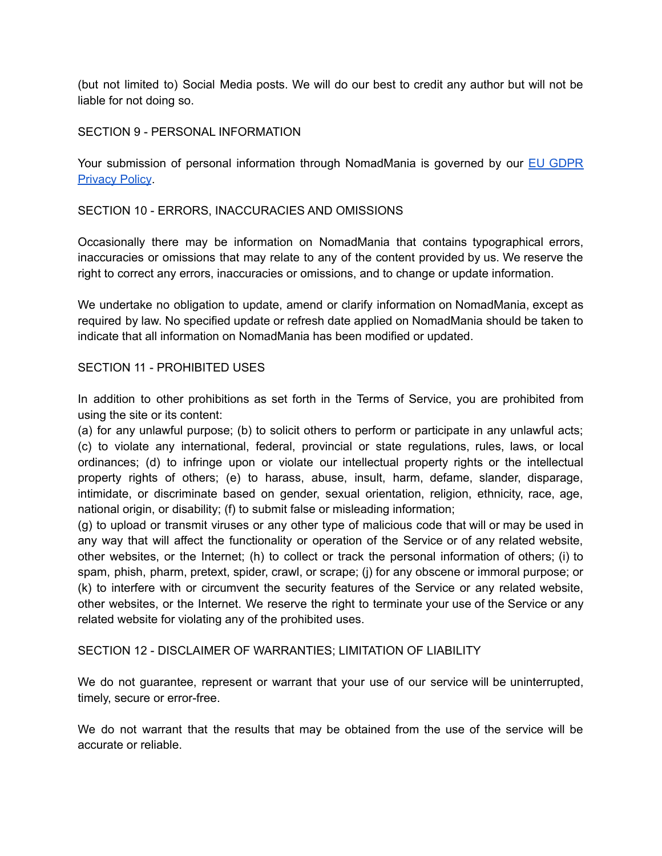(but not limited to) Social Media posts. We will do our best to credit any author but will not be liable for not doing so.

### SECTION 9 - PERSONAL INFORMATION

Your submission of personal information through NomadMania is governed by our EU [GDPR](https://nomadmania.travel/gdpr.html) [Privacy](https://nomadmania.travel/gdpr.html) Policy.

#### SECTION 10 - ERRORS, INACCURACIES AND OMISSIONS

Occasionally there may be information on NomadMania that contains typographical errors, inaccuracies or omissions that may relate to any of the content provided by us. We reserve the right to correct any errors, inaccuracies or omissions, and to change or update information.

We undertake no obligation to update, amend or clarify information on NomadMania, except as required by law. No specified update or refresh date applied on NomadMania should be taken to indicate that all information on NomadMania has been modified or updated.

# SECTION 11 - PROHIBITED USES

In addition to other prohibitions as set forth in the Terms of Service, you are prohibited from using the site or its content:

(a) for any unlawful purpose; (b) to solicit others to perform or participate in any unlawful acts; (c) to violate any international, federal, provincial or state regulations, rules, laws, or local ordinances; (d) to infringe upon or violate our intellectual property rights or the intellectual property rights of others; (e) to harass, abuse, insult, harm, defame, slander, disparage, intimidate, or discriminate based on gender, sexual orientation, religion, ethnicity, race, age, national origin, or disability; (f) to submit false or misleading information;

(g) to upload or transmit viruses or any other type of malicious code that will or may be used in any way that will affect the functionality or operation of the Service or of any related website, other websites, or the Internet; (h) to collect or track the personal information of others; (i) to spam, phish, pharm, pretext, spider, crawl, or scrape; (j) for any obscene or immoral purpose; or (k) to interfere with or circumvent the security features of the Service or any related website, other websites, or the Internet. We reserve the right to terminate your use of the Service or any related website for violating any of the prohibited uses.

# SECTION 12 - DISCLAIMER OF WARRANTIES; LIMITATION OF LIABILITY

We do not guarantee, represent or warrant that your use of our service will be uninterrupted, timely, secure or error-free.

We do not warrant that the results that may be obtained from the use of the service will be accurate or reliable.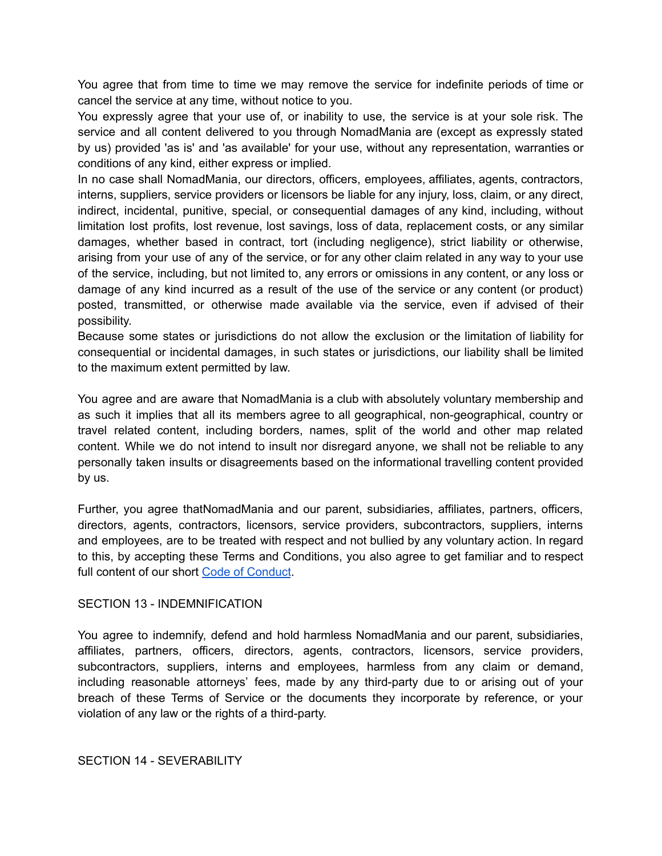You agree that from time to time we may remove the service for indefinite periods of time or cancel the service at any time, without notice to you.

You expressly agree that your use of, or inability to use, the service is at your sole risk. The service and all content delivered to you through NomadMania are (except as expressly stated by us) provided 'as is' and 'as available' for your use, without any representation, warranties or conditions of any kind, either express or implied.

In no case shall NomadMania, our directors, officers, employees, affiliates, agents, contractors, interns, suppliers, service providers or licensors be liable for any injury, loss, claim, or any direct, indirect, incidental, punitive, special, or consequential damages of any kind, including, without limitation lost profits, lost revenue, lost savings, loss of data, replacement costs, or any similar damages, whether based in contract, tort (including negligence), strict liability or otherwise, arising from your use of any of the service, or for any other claim related in any way to your use of the service, including, but not limited to, any errors or omissions in any content, or any loss or damage of any kind incurred as a result of the use of the service or any content (or product) posted, transmitted, or otherwise made available via the service, even if advised of their possibility.

Because some states or jurisdictions do not allow the exclusion or the limitation of liability for consequential or incidental damages, in such states or jurisdictions, our liability shall be limited to the maximum extent permitted by law.

You agree and are aware that NomadMania is a club with absolutely voluntary membership and as such it implies that all its members agree to all geographical, non-geographical, country or travel related content, including borders, names, split of the world and other map related content. While we do not intend to insult nor disregard anyone, we shall not be reliable to any personally taken insults or disagreements based on the informational travelling content provided by us.

Further, you agree thatNomadMania and our parent, subsidiaries, affiliates, partners, officers, directors, agents, contractors, licensors, service providers, subcontractors, suppliers, interns and employees, are to be treated with respect and not bullied by any voluntary action. In regard to this, by accepting these Terms and Conditions, you also agree to get familiar and to respect full content of our short Code of [Conduct](https://nomadmania.travel/code-conduct/).

# SECTION 13 - INDEMNIFICATION

You agree to indemnify, defend and hold harmless NomadMania and our parent, subsidiaries, affiliates, partners, officers, directors, agents, contractors, licensors, service providers, subcontractors, suppliers, interns and employees, harmless from any claim or demand, including reasonable attorneys' fees, made by any third-party due to or arising out of your breach of these Terms of Service or the documents they incorporate by reference, or your violation of any law or the rights of a third-party.

### SECTION 14 - SEVERABILITY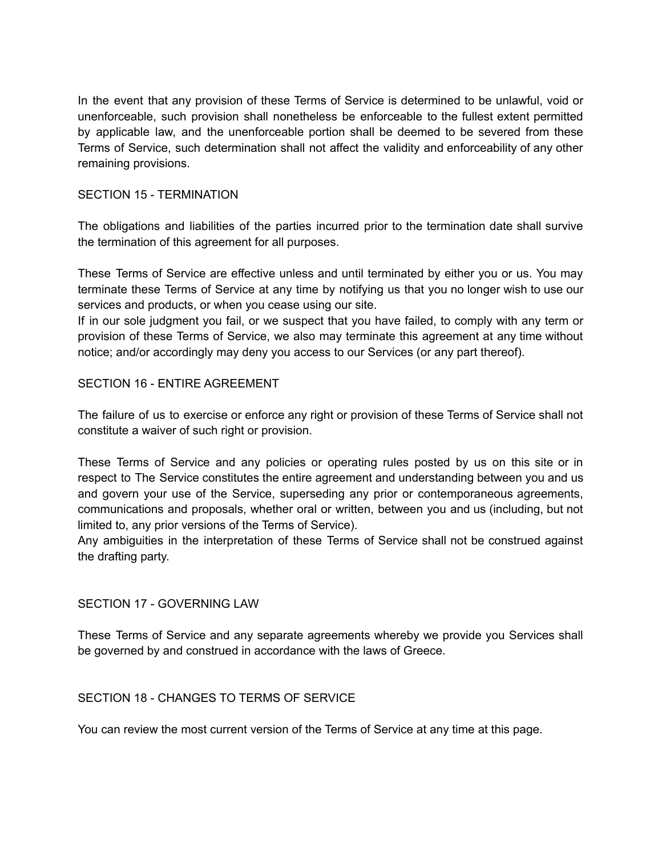In the event that any provision of these Terms of Service is determined to be unlawful, void or unenforceable, such provision shall nonetheless be enforceable to the fullest extent permitted by applicable law, and the unenforceable portion shall be deemed to be severed from these Terms of Service, such determination shall not affect the validity and enforceability of any other remaining provisions.

# SECTION 15 - TERMINATION

The obligations and liabilities of the parties incurred prior to the termination date shall survive the termination of this agreement for all purposes.

These Terms of Service are effective unless and until terminated by either you or us. You may terminate these Terms of Service at any time by notifying us that you no longer wish to use our services and products, or when you cease using our site.

If in our sole judgment you fail, or we suspect that you have failed, to comply with any term or provision of these Terms of Service, we also may terminate this agreement at any time without notice; and/or accordingly may deny you access to our Services (or any part thereof).

# SECTION 16 - ENTIRE AGREEMENT

The failure of us to exercise or enforce any right or provision of these Terms of Service shall not constitute a waiver of such right or provision.

These Terms of Service and any policies or operating rules posted by us on this site or in respect to The Service constitutes the entire agreement and understanding between you and us and govern your use of the Service, superseding any prior or contemporaneous agreements, communications and proposals, whether oral or written, between you and us (including, but not limited to, any prior versions of the Terms of Service).

Any ambiguities in the interpretation of these Terms of Service shall not be construed against the drafting party.

# SECTION 17 - GOVERNING LAW

These Terms of Service and any separate agreements whereby we provide you Services shall be governed by and construed in accordance with the laws of Greece.

# SECTION 18 - CHANGES TO TERMS OF SERVICE

You can review the most current version of the Terms of Service at any time at this page.